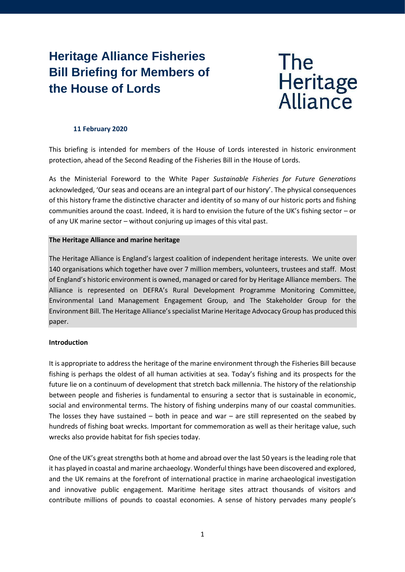# **Heritage Alliance Fisheries Bill Briefing for Members of the House of Lords**



## **11 February 2020**

This briefing is intended for members of the House of Lords interested in historic environment protection, ahead of the Second Reading of the Fisheries Bill in the House of Lords.

As the Ministerial Foreword to the White Paper *Sustainable Fisheries for Future Generations* acknowledged, 'Our seas and oceans are an integral part of our history'. The physical consequences of this history frame the distinctive character and identity of so many of our historic ports and fishing communities around the coast. Indeed, it is hard to envision the future of the UK's fishing sector – or of any UK marine sector – without conjuring up images of this vital past.

## **The Heritage Alliance and marine heritage**

The Heritage Alliance is England's largest coalition of independent heritage interests. We unite over 140 organisations which together have over 7 million members, volunteers, trustees and staff. Most of England's historic environment is owned, managed or cared for by Heritage Alliance members. The Alliance is represented on DEFRA's Rural Development Programme Monitoring Committee, Environmental Land Management Engagement Group, and The Stakeholder Group for the Environment Bill. The Heritage Alliance's specialist Marine Heritage Advocacy Group has produced this paper.

## **Introduction**

It is appropriate to address the heritage of the marine environment through the Fisheries Bill because fishing is perhaps the oldest of all human activities at sea. Today's fishing and its prospects for the future lie on a continuum of development that stretch back millennia. The history of the relationship between people and fisheries is fundamental to ensuring a sector that is sustainable in economic, social and environmental terms. The history of fishing underpins many of our coastal communities. The losses they have sustained  $-$  both in peace and war  $-$  are still represented on the seabed by hundreds of fishing boat wrecks. Important for commemoration as well as their heritage value, such wrecks also provide habitat for fish species today.

One of the UK's great strengths both at home and abroad over the last 50 years is the leading role that it has played in coastal and marine archaeology. Wonderful things have been discovered and explored, and the UK remains at the forefront of international practice in marine archaeological investigation and innovative public engagement. Maritime heritage sites attract thousands of visitors and contribute millions of pounds to coastal economies. A sense of history pervades many people's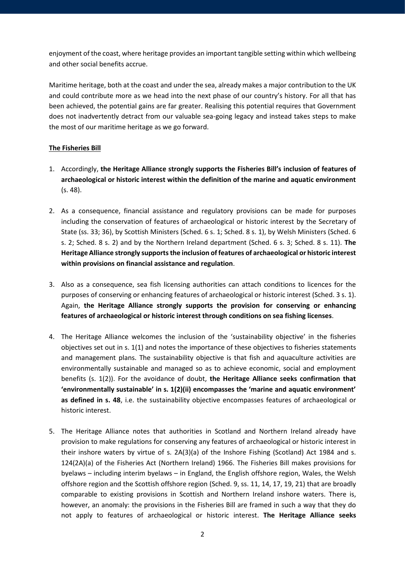enjoyment of the coast, where heritage provides an important tangible setting within which wellbeing and other social benefits accrue.

Maritime heritage, both at the coast and under the sea, already makes a major contribution to the UK and could contribute more as we head into the next phase of our country's history. For all that has been achieved, the potential gains are far greater. Realising this potential requires that Government does not inadvertently detract from our valuable sea-going legacy and instead takes steps to make the most of our maritime heritage as we go forward.

# **The Fisheries Bill**

- 1. Accordingly, **the Heritage Alliance strongly supports the Fisheries Bill's inclusion of features of archaeological or historic interest within the definition of the marine and aquatic environment** (s. 48).
- 2. As a consequence, financial assistance and regulatory provisions can be made for purposes including the conservation of features of archaeological or historic interest by the Secretary of State (ss. 33; 36), by Scottish Ministers (Sched. 6 s. 1; Sched. 8 s. 1), by Welsh Ministers (Sched. 6 s. 2; Sched. 8 s. 2) and by the Northern Ireland department (Sched. 6 s. 3; Sched. 8 s. 11). **The Heritage Alliance strongly supports the inclusion of features of archaeological or historic interest within provisions on financial assistance and regulation**.
- 3. Also as a consequence, sea fish licensing authorities can attach conditions to licences for the purposes of conserving or enhancing features of archaeological or historic interest (Sched. 3 s. 1). Again, **the Heritage Alliance strongly supports the provision for conserving or enhancing features of archaeological or historic interest through conditions on sea fishing licenses**.
- 4. The Heritage Alliance welcomes the inclusion of the 'sustainability objective' in the fisheries objectives set out in s. 1(1) and notes the importance of these objectives to fisheries statements and management plans. The sustainability objective is that fish and aquaculture activities are environmentally sustainable and managed so as to achieve economic, social and employment benefits (s. 1(2)). For the avoidance of doubt, **the Heritage Alliance seeks confirmation that 'environmentally sustainable' in s. 1(2)(ii) encompasses the 'marine and aquatic environment' as defined in s. 48**, i.e. the sustainability objective encompasses features of archaeological or historic interest.
- 5. The Heritage Alliance notes that authorities in Scotland and Northern Ireland already have provision to make regulations for conserving any features of archaeological or historic interest in their inshore waters by virtue of s. 2A(3)(a) of the Inshore Fishing (Scotland) Act 1984 and s. 124(2A)(a) of the Fisheries Act (Northern Ireland) 1966. The Fisheries Bill makes provisions for byelaws – including interim byelaws – in England, the English offshore region, Wales, the Welsh offshore region and the Scottish offshore region (Sched. 9, ss. 11, 14, 17, 19, 21) that are broadly comparable to existing provisions in Scottish and Northern Ireland inshore waters. There is, however, an anomaly: the provisions in the Fisheries Bill are framed in such a way that they do not apply to features of archaeological or historic interest. **The Heritage Alliance seeks**